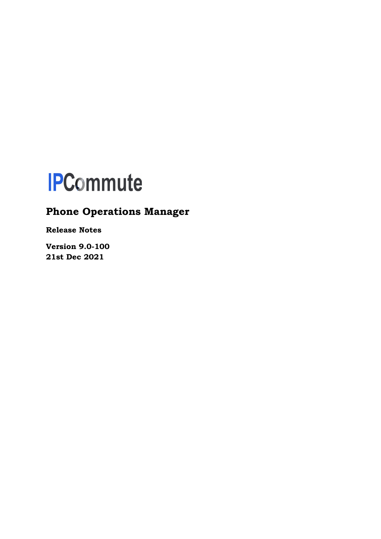

# **Phone Operations Manager**

**Release Notes**

**Version 9.0-100 21st Dec 2021**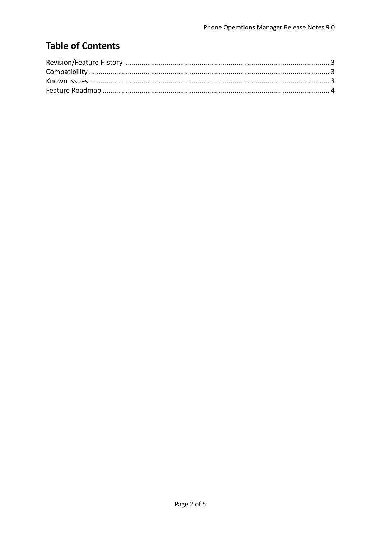## **Table of Contents**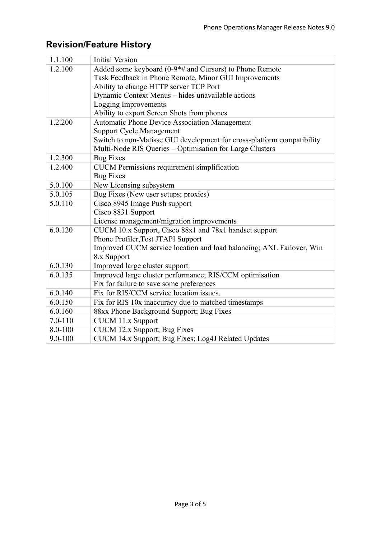| 1.1.100                                                       | <b>Initial Version</b>                                                 |  |
|---------------------------------------------------------------|------------------------------------------------------------------------|--|
| 1.2.100                                                       | Added some keyboard (0-9*# and Cursors) to Phone Remote                |  |
| Task Feedback in Phone Remote, Minor GUI Improvements         |                                                                        |  |
|                                                               | Ability to change HTTP server TCP Port                                 |  |
| Dynamic Context Menus - hides unavailable actions             |                                                                        |  |
|                                                               | Logging Improvements                                                   |  |
|                                                               | Ability to export Screen Shots from phones                             |  |
| 1.2.200                                                       | <b>Automatic Phone Device Association Management</b>                   |  |
|                                                               | <b>Support Cycle Management</b>                                        |  |
|                                                               | Switch to non-Matisse GUI development for cross-platform compatibility |  |
|                                                               | Multi-Node RIS Queries - Optimisation for Large Clusters               |  |
| 1.2.300                                                       | <b>Bug Fixes</b>                                                       |  |
| 1.2.400<br><b>CUCM</b> Permissions requirement simplification |                                                                        |  |
|                                                               | <b>Bug Fixes</b>                                                       |  |
| 5.0.100                                                       | New Licensing subsystem                                                |  |
| 5.0.105                                                       | Bug Fixes (New user setups; proxies)                                   |  |
| 5.0.110                                                       | Cisco 8945 Image Push support                                          |  |
|                                                               | Cisco 8831 Support                                                     |  |
|                                                               | License management/migration improvements                              |  |
| 6.0.120                                                       | CUCM 10.x Support, Cisco 88x1 and 78x1 handset support                 |  |
|                                                               | Phone Profiler, Test JTAPI Support                                     |  |
|                                                               | Improved CUCM service location and load balancing; AXL Failover, Win   |  |
|                                                               | 8.x Support                                                            |  |
| 6.0.130                                                       | Improved large cluster support                                         |  |
| 6.0.135                                                       | Improved large cluster performance; RIS/CCM optimisation               |  |
|                                                               | Fix for failure to save some preferences                               |  |
| 6.0.140                                                       | Fix for RIS/CCM service location issues.                               |  |
| 6.0.150                                                       | Fix for RIS 10x inaccuracy due to matched timestamps                   |  |
| 6.0.160                                                       | 88xx Phone Background Support; Bug Fixes                               |  |
| $7.0 - 110$                                                   | <b>CUCM 11.x Support</b>                                               |  |
| 8.0-100                                                       | CUCM 12.x Support; Bug Fixes                                           |  |
| $9.0 - 100$                                                   | CUCM 14.x Support; Bug Fixes; Log4J Related Updates                    |  |

# **Revision/Feature History**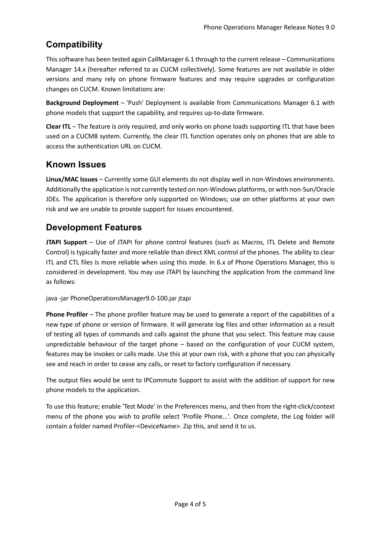### **Compatibility**

This software has been tested again CallManager 6.1 through to the current release – Communications Manager 14.x (hereafter referred to as CUCM collectively). Some features are not available in older versions and many rely on phone firmware features and may require upgrades or configuration changes on CUCM. Known limitations are:

**Background Deployment** – 'Push' Deployment is available from Communications Manager 6.1 with phone models that support the capability, and requires up-to-date firmware.

**Clear ITL** – The feature is only required, and only works on phone loads supporting ITL that have been used on a CUCM8 system. Currently, the clear ITL function operates only on phones that are able to access the authentication URL on CUCM.

### **Known Issues**

**Linux/MAC Issues** – Currently some GUI elements do not display well in non-Windows environments. Additionally the application is not currently tested on non-Windows platforms, or with non-Sun/Oracle JDEs. The application is therefore only supported on Windows; use on other platforms at your own risk and we are unable to provide support for issues encountered.

### **Development Features**

**JTAPI Support** – Use of JTAPI for phone control features (such as Macros, ITL Delete and Remote Control) is typically faster and more reliable than direct XML control of the phones. The ability to clear ITL and CTL files is more reliable when using this mode. In 6.x of Phone Operations Manager, this is considered in development. You may use JTAPI by launching the application from the command line as follows:

java -jar PhoneOperationsManager9.0-100.jar jtapi

**Phone Profiler** – The phone profiler feature may be used to generate a report of the capabilities of a new type of phone or version of firmware. It will generate log files and other information as a result of testing all types of commands and calls against the phone that you select. This feature may cause unpredictable behaviour of the target phone – based on the configuration of your CUCM system, features may be invokes or calls made. Use this at your own risk, with a phone that you can physically see and reach in order to cease any calls, or reset to factory configuration if necessary.

The output files would be sent to IPCommute Support to assist with the addition of support for new phone models to the application.

To use this feature; enable 'Test Mode' in the Preferences menu, and then from the right-click/context menu of the phone you wish to profile select 'Profile Phone...'. Once complete, the Log folder will contain a folder named Profiler-<DeviceName>. Zip this, and send it to us.